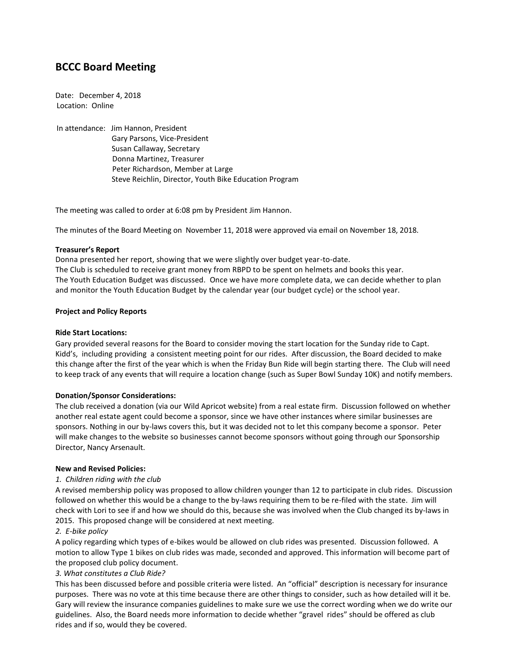# **BCCC Board Meeting**

Date: December 4, 2018 Location: Online

In attendance: Jim Hannon, President Gary Parsons, Vice-President Susan Callaway, Secretary Donna Martinez, Treasurer Peter Richardson, Member at Large Steve Reichlin, Director, Youth Bike Education Program

The meeting was called to order at 6:08 pm by President Jim Hannon.

The minutes of the Board Meeting on November 11, 2018 were approved via email on November 18, 2018.

## **Treasurer's Report**

Donna presented her report, showing that we were slightly over budget year-to-date. The Club is scheduled to receive grant money from RBPD to be spent on helmets and books this year. The Youth Education Budget was discussed. Once we have more complete data, we can decide whether to plan and monitor the Youth Education Budget by the calendar year (our budget cycle) or the school year.

## **Project and Policy Reports**

## **Ride Start Locations:**

Gary provided several reasons for the Board to consider moving the start location for the Sunday ride to Capt. Kidd's, including providing a consistent meeting point for our rides. After discussion, the Board decided to make this change after the first of the year which is when the Friday Bun Ride will begin starting there. The Club will need to keep track of any events that will require a location change (such as Super Bowl Sunday 10K) and notify members.

# **Donation/Sponsor Considerations:**

The club received a donation (via our Wild Apricot website) from a real estate firm. Discussion followed on whether another real estate agent could become a sponsor, since we have other instances where similar businesses are sponsors. Nothing in our by-laws covers this, but it was decided not to let this company become a sponsor. Peter will make changes to the website so businesses cannot become sponsors without going through our Sponsorship Director, Nancy Arsenault.

### **New and Revised Policies:**

# *1. Children riding with the club*

A revised membership policy was proposed to allow children younger than 12 to participate in club rides. Discussion followed on whether this would be a change to the by-laws requiring them to be re-filed with the state. Jim will check with Lori to see if and how we should do this, because she was involved when the Club changed its by-laws in 2015. This proposed change will be considered at next meeting.

# *2. E-bike policy*

A policy regarding which types of e-bikes would be allowed on club rides was presented. Discussion followed. A motion to allow Type 1 bikes on club rides was made, seconded and approved. This information will become part of the proposed club policy document.

# *3. What constitutes a Club Ride?*

This has been discussed before and possible criteria were listed. An "official" description is necessary for insurance purposes. There was no vote at this time because there are other things to consider, such as how detailed will it be. Gary will review the insurance companies guidelines to make sure we use the correct wording when we do write our guidelines. Also, the Board needs more information to decide whether "gravel rides" should be offered as club rides and if so, would they be covered.